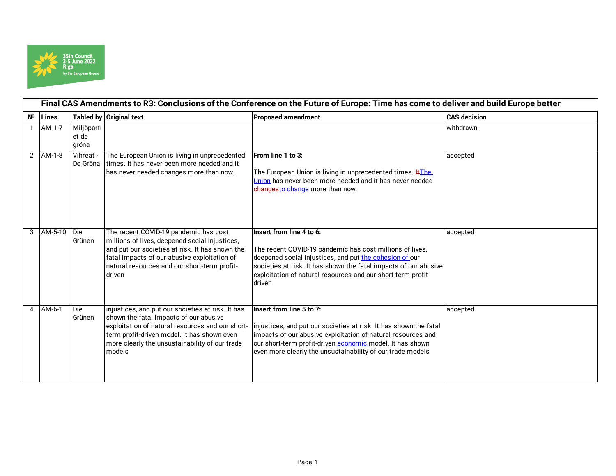

|                | Final CAS Amendments to R3: Conclusions of the Conference on the Future of Europe: Time has come to deliver and build Europe better |                              |                                                                                                                                                                                                                                                            |                                                                                                                                                                                                                                                                                               |                     |  |
|----------------|-------------------------------------------------------------------------------------------------------------------------------------|------------------------------|------------------------------------------------------------------------------------------------------------------------------------------------------------------------------------------------------------------------------------------------------------|-----------------------------------------------------------------------------------------------------------------------------------------------------------------------------------------------------------------------------------------------------------------------------------------------|---------------------|--|
| $N^{\circ}$    | Lines                                                                                                                               |                              | Tabled by Original text                                                                                                                                                                                                                                    | <b>Proposed amendment</b>                                                                                                                                                                                                                                                                     | <b>CAS</b> decision |  |
|                | AM-1-7                                                                                                                              | Miljöparti<br>et de<br>gröna |                                                                                                                                                                                                                                                            |                                                                                                                                                                                                                                                                                               | withdrawn           |  |
| $\mathbf{2}$   | AM-1-8                                                                                                                              | Vihreät -<br>De Gröna        | The European Union is living in unprecedented<br>times. It has never been more needed and it<br>has never needed changes more than now.                                                                                                                    | From line 1 to 3:<br>The European Union is living in unprecedented times. #The<br>Union has never been more needed and it has never needed<br>changesto change more than now.                                                                                                                 | accepted            |  |
|                | 3 AM-5-10 Die                                                                                                                       | Grünen                       | The recent COVID-19 pandemic has cost<br>millions of lives, deepened social injustices,<br>and put our societies at risk. It has shown the<br>fatal impacts of our abusive exploitation of<br>natural resources and our short-term profit-<br>driven       | Insert from line 4 to 6:<br>The recent COVID-19 pandemic has cost millions of lives,<br>deepened social injustices, and put the cohesion of our<br>societies at risk. It has shown the fatal impacts of our abusive<br>exploitation of natural resources and our short-term profit-<br>driven | accepted            |  |
| $\overline{4}$ | AM-6-1                                                                                                                              | Die<br>Grünen                | injustices, and put our societies at risk. It has<br>shown the fatal impacts of our abusive<br>exploitation of natural resources and our short-<br>term profit-driven model. It has shown even<br>more clearly the unsustainability of our trade<br>models | Insert from line 5 to 7:<br>injustices, and put our societies at risk. It has shown the fatal<br>impacts of our abusive exploitation of natural resources and<br>our short-term profit-driven economic model. It has shown<br>even more clearly the unsustainability of our trade models      | accepted            |  |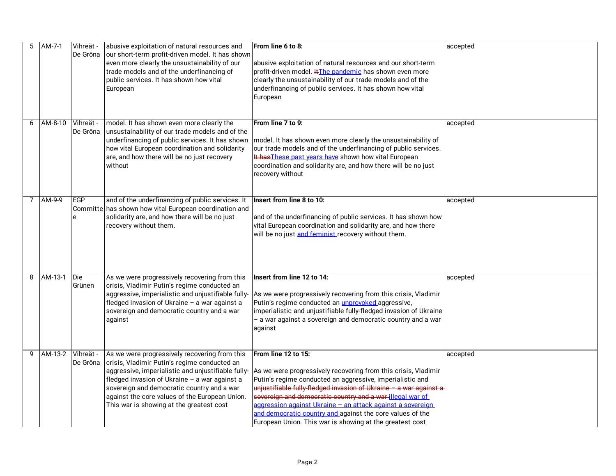| 5 | AM-7-1  | Vihreät -<br>De Gröna | abusive exploitation of natural resources and<br>our short-term profit-driven model. It has shown<br>even more clearly the unsustainability of our<br>trade models and of the underfinancing of<br>public services. It has shown how vital<br>European                                     | From line 6 to 8:<br>abusive exploitation of natural resources and our short-term<br>profit-driven model. #The pandemic has shown even more<br>clearly the unsustainability of our trade models and of the<br>underfinancing of public services. It has shown how vital<br>European                                                                                                                                                                                                                                            | accepted |
|---|---------|-----------------------|--------------------------------------------------------------------------------------------------------------------------------------------------------------------------------------------------------------------------------------------------------------------------------------------|--------------------------------------------------------------------------------------------------------------------------------------------------------------------------------------------------------------------------------------------------------------------------------------------------------------------------------------------------------------------------------------------------------------------------------------------------------------------------------------------------------------------------------|----------|
| 6 | AM-8-10 | Vihreät -<br>De Gröna | model. It has shown even more clearly the<br>unsustainability of our trade models and of the<br>underfinancing of public services. It has shown<br>how vital European coordination and solidarity<br>are, and how there will be no just recovery<br>without                                | From line 7 to 9:<br>model. It has shown even more clearly the unsustainability of<br>our trade models and of the underfinancing of public services.<br>It has These past vears have shown how vital European<br>coordination and solidarity are, and how there will be no just<br>recovery without                                                                                                                                                                                                                            | accepted |
| 7 | AM-9-9  | EGP<br>e              | and of the underfinancing of public services. It<br>Committe has shown how vital European coordination and<br>solidarity are, and how there will be no just<br>recovery without them.                                                                                                      | Insert from line 8 to 10:<br>and of the underfinancing of public services. It has shown how<br>vital European coordination and solidarity are, and how there<br>will be no just and feminist recovery without them.                                                                                                                                                                                                                                                                                                            | accepted |
| 8 | AM-13-1 | Die<br>Grünen         | As we were progressively recovering from this<br>crisis, Vladimir Putin's regime conducted an<br>fledged invasion of Ukraine - a war against a<br>sovereign and democratic country and a war<br>against                                                                                    | Insert from line 12 to 14:<br>aggressive, imperialistic and unjustifiable fully- As we were progressively recovering from this crisis, Vladimir<br>Putin's regime conducted an unprovoked aggressive,<br>imperialistic and unjustifiable fully-fledged invasion of Ukraine<br>- a war against a sovereign and democratic country and a war<br>against                                                                                                                                                                          | accepted |
| 9 | AM-13-2 | Vihreät -<br>De Gröna | As we were progressively recovering from this<br>crisis, Vladimir Putin's regime conducted an<br>fledged invasion of Ukraine - a war against a<br>sovereign and democratic country and a war<br>against the core values of the European Union.<br>This war is showing at the greatest cost | From line 12 to 15:<br>aggressive, imperialistic and unjustifiable fully- As we were progressively recovering from this crisis, Vladimir<br>Putin's regime conducted an aggressive, imperialistic and<br>unjustifiable fully-fledged invasion of Ukraine - a war against a<br>sovereign and democratic country and a war-illegal war of<br>aggression against Ukraine - an attack against a sovereign<br>and democratic country and against the core values of the<br>European Union. This war is showing at the greatest cost | accepted |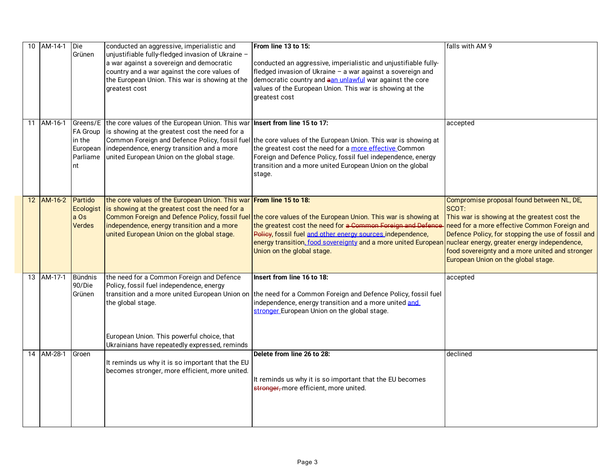| 10 AM-14-1 | Die<br>Grünen                                 | conducted an aggressive, imperialistic and<br>unjustifiable fully-fledged invasion of Ukraine -<br>a war against a sovereign and democratic<br>country and a war against the core values of<br>the European Union. This war is showing at the<br>greatest cost | From line 13 to 15:<br>conducted an aggressive, imperialistic and unjustifiable fully-<br>fledged invasion of Ukraine - a war against a sovereign and<br>democratic country and aan unlawful war against the core<br>values of the European Union. This war is showing at the<br>greatest cost                                                                                                 | falls with AM 9                                                                                                                                                                                                                                                                                    |
|------------|-----------------------------------------------|----------------------------------------------------------------------------------------------------------------------------------------------------------------------------------------------------------------------------------------------------------------|------------------------------------------------------------------------------------------------------------------------------------------------------------------------------------------------------------------------------------------------------------------------------------------------------------------------------------------------------------------------------------------------|----------------------------------------------------------------------------------------------------------------------------------------------------------------------------------------------------------------------------------------------------------------------------------------------------|
| 11 AM-16-1 | in the<br>nt                                  | Greens/E the core values of the European Union. This war Insert from line 15 to 17:<br>FA Group   is showing at the greatest cost the need for a<br>European independence, energy transition and a more<br>Parliame united European Union on the global stage. | Common Foreign and Defence Policy, fossil fuel the core values of the European Union. This war is showing at<br>the greatest cost the need for a more effective Common<br>Foreign and Defence Policy, fossil fuel independence, energy<br>transition and a more united European Union on the global<br>stage.                                                                                  | accepted                                                                                                                                                                                                                                                                                           |
| 12 AM-16-2 | Partido<br>Ecologist<br>a Os<br><b>Verdes</b> | the core values of the European Union. This war From line 15 to 18:<br>is showing at the greatest cost the need for a<br>independence, energy transition and a more<br>united European Union on the global stage.                                              | Common Foreign and Defence Policy, fossil fuel the core values of the European Union. This war is showing at<br>the greatest cost the need for a Common Foreign and Defence<br>Policy, fossil fuel and other energy sources independence,<br>energy transition <u>, food sovereignty</u> and a more united European nuclear energy, greater energy independence,<br>Union on the global stage. | Compromise proposal found between NL, DE,<br>SCOT:<br>This war is showing at the greatest cost the<br>need for a more effective Common Foreign and<br>Defence Policy, for stopping the use of fossil and<br>food sovereignty and a more united and stronger<br>European Union on the global stage. |
| 13 AM-17-1 | <b>Bündnis</b><br>90/Die<br>Grünen            | the need for a Common Foreign and Defence<br>Policy, fossil fuel independence, energy<br>the global stage.<br>European Union. This powerful choice, that<br>Ukrainians have repeatedly expressed, reminds                                                      | Insert from line 16 to 18:<br>transition and a more united European Union on the need for a Common Foreign and Defence Policy, fossil fuel<br>independence, energy transition and a more united and<br>stronger European Union on the global stage.                                                                                                                                            | accepted                                                                                                                                                                                                                                                                                           |
| 14 AM-28-1 | Groen                                         | It reminds us why it is so important that the EU<br>becomes stronger, more efficient, more united.                                                                                                                                                             | Delete from line 26 to 28:<br>It reminds us why it is so important that the EU becomes<br>stronger, more efficient, more united.                                                                                                                                                                                                                                                               | declined                                                                                                                                                                                                                                                                                           |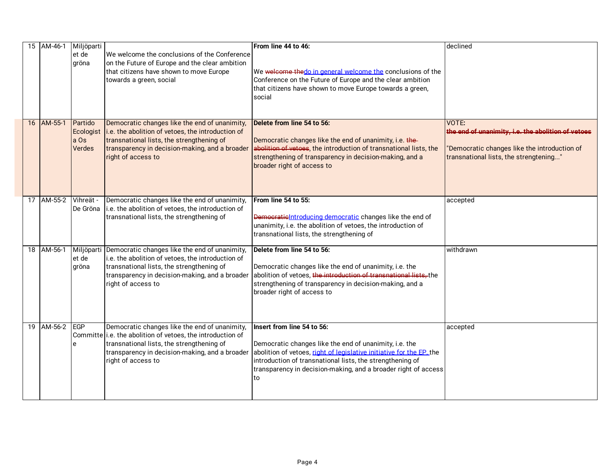|  | 15 AM-46-1 | Miljöparti                   |                                                                                                                                                                                                                                   | From line 44 to 46:                                                                                                                                                                                                                                                                               | declined                                                                                                                                              |
|--|------------|------------------------------|-----------------------------------------------------------------------------------------------------------------------------------------------------------------------------------------------------------------------------------|---------------------------------------------------------------------------------------------------------------------------------------------------------------------------------------------------------------------------------------------------------------------------------------------------|-------------------------------------------------------------------------------------------------------------------------------------------------------|
|  |            | et de<br>gröna               | We welcome the conclusions of the Conference<br>on the Future of Europe and the clear ambition<br>that citizens have shown to move Europe<br>towards a green, social                                                              | We welcome the do in general welcome the conclusions of the<br>Conference on the Future of Europe and the clear ambition<br>that citizens have shown to move Europe towards a green,<br>social                                                                                                    |                                                                                                                                                       |
|  | 16 AM-55-1 | Partido<br>a Os<br>Verdes    | Democratic changes like the end of unanimity,<br>Ecologist i.e. the abolition of vetoes, the introduction of<br>transnational lists, the strengthening of<br>transparency in decision-making, and a broader<br>right of access to | Delete from line 54 to 56:<br>Democratic changes like the end of unanimity, i.e. the-<br>abolition of vetoes, the introduction of transnational lists, the<br>strengthening of transparency in decision-making, and a<br>broader right of access to                                               | VOTE:<br>the end of unanimity, i.e. the abolition of vetoes<br>'Democratic changes like the introduction of<br>transnational lists, the strengtening" |
|  | 17 AM-55-2 | Vihreät -                    | Democratic changes like the end of unanimity,<br>De Gröna li.e. the abolition of vetoes, the introduction of<br>transnational lists, the strengthening of                                                                         | From line 54 to 55:<br>Democratic Introducing democratic changes like the end of<br>unanimity, i.e. the abolition of vetoes, the introduction of<br>transnational lists, the strengthening of                                                                                                     | accepted                                                                                                                                              |
|  | 18 AM-56-1 | Miljöparti<br>et de<br>gröna | Democratic changes like the end of unanimity,<br>i.e. the abolition of vetoes, the introduction of<br>transnational lists, the strengthening of<br>transparency in decision-making, and a broader<br>right of access to           | Delete from line 54 to 56:<br>Democratic changes like the end of unanimity, i.e. the<br>abolition of vetoes, the introduction of transnational lists, the<br>strengthening of transparency in decision-making, and a<br>broader right of access to                                                | withdrawn                                                                                                                                             |
|  | 19 AM-56-2 | EGP<br>e                     | Democratic changes like the end of unanimity,<br>Committe i.e. the abolition of vetoes, the introduction of<br>transnational lists, the strengthening of<br>transparency in decision-making, and a broader<br>right of access to  | Insert from line 54 to 56:<br>Democratic changes like the end of unanimity, i.e. the<br>abolition of vetoes, right of legislative initiative for the EP, the<br>introduction of transnational lists, the strengthening of<br>transparency in decision-making, and a broader right of access<br>to | accepted                                                                                                                                              |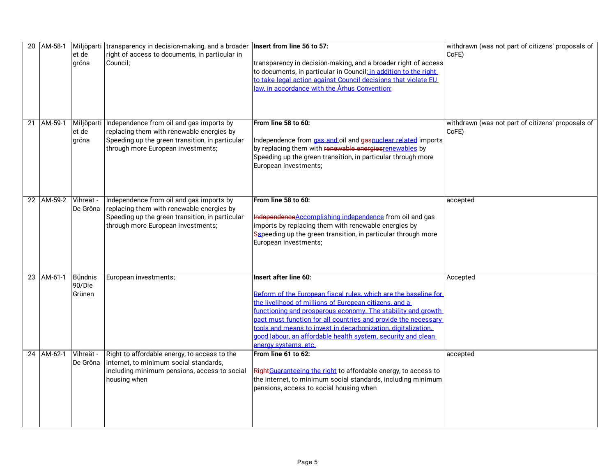| 20 | AM-58-1    | et de<br>gröna                     | Miljöparti transparency in decision-making, and a broader Insert from line 56 to 57:<br>right of access to documents, in particular in<br>Council:                             | transparency in decision-making, and a broader right of access<br>to documents, in particular in Council; in addition to the right<br>to take legal action against Council decisions that violate EU<br><u>law, in accordance with the Århus Convention:</u>                                                                                                                                                                                  | withdrawn (was not part of citizens' proposals of<br>CoFE) |
|----|------------|------------------------------------|--------------------------------------------------------------------------------------------------------------------------------------------------------------------------------|-----------------------------------------------------------------------------------------------------------------------------------------------------------------------------------------------------------------------------------------------------------------------------------------------------------------------------------------------------------------------------------------------------------------------------------------------|------------------------------------------------------------|
| 21 | AM-59-1    | Miljöparti<br>et de<br>gröna       | Independence from oil and gas imports by<br>replacing them with renewable energies by<br>Speeding up the green transition, in particular<br>through more European investments; | From line 58 to 60:<br>Independence from gas and oil and gasnuclear related imports<br>by replacing them with renewable energies renewables by<br>Speeding up the green transition, in particular through more<br>European investments;                                                                                                                                                                                                       | withdrawn (was not part of citizens' proposals of<br>CoFE) |
|    | 22 AM-59-2 | Vihreät -<br>De Gröna              | Independence from oil and gas imports by<br>replacing them with renewable energies by<br>Speeding up the green transition, in particular<br>through more European investments; | From line 58 to 60:<br>Independence Accomplishing independence from oil and gas<br>imports by replacing them with renewable energies by<br>Sspeeding up the green transition, in particular through more<br>European investments;                                                                                                                                                                                                             | accepted                                                   |
|    | 23 AM-61-1 | <b>Bündnis</b><br>90/Die<br>Grünen | European investments;                                                                                                                                                          | Insert after line 60:<br>Reform of the European fiscal rules, which are the baseline for<br>the livelihood of millions of European citizens, and a<br>functioning and prosperous economy. The stability and growth<br>pact must function for all countries and provide the necessary<br>tools and means to invest in decarbonization, digitalization.<br>good labour, an affordable health system, security and clean<br>energy systems, etc. | Accepted                                                   |
|    | 24 AM-62-1 | Vihreät -<br>De Gröna              | Right to affordable energy, to access to the<br>internet, to minimum social standards,<br>including minimum pensions, access to social<br>housing when                         | From line 61 to 62:<br>Right Guaranteeing the right to affordable energy, to access to<br>the internet, to minimum social standards, including minimum<br>pensions, access to social housing when                                                                                                                                                                                                                                             | accepted                                                   |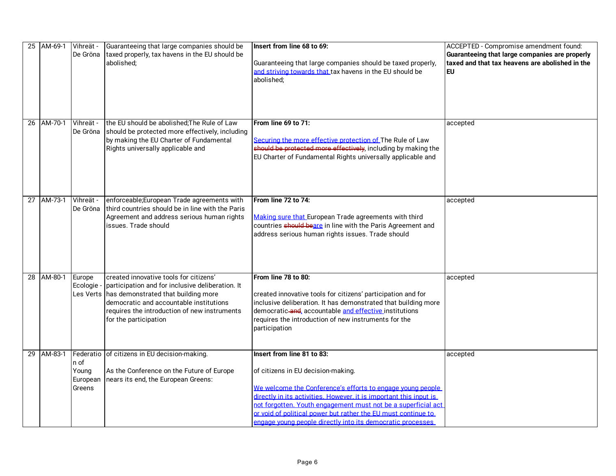|    | 25 AM-69-1 | Vihreät -<br>De Gröna               | Guaranteeing that large companies should be<br>taxed properly, tax havens in the EU should be<br>abolished:                                                                                                                                                             | Insert from line 68 to 69:<br>Guaranteeing that large companies should be taxed properly,<br>and striving towards that tax havens in the EU should be<br>abolished;                                                                                                                                                                                                                                  | ACCEPTED - Compromise amendment found:<br>Guaranteeing that large companies are properly<br>ltaxed and that tax heavens are abolished in the<br>EU |
|----|------------|-------------------------------------|-------------------------------------------------------------------------------------------------------------------------------------------------------------------------------------------------------------------------------------------------------------------------|------------------------------------------------------------------------------------------------------------------------------------------------------------------------------------------------------------------------------------------------------------------------------------------------------------------------------------------------------------------------------------------------------|----------------------------------------------------------------------------------------------------------------------------------------------------|
|    | 26 AM-70-1 | Vihreät -<br>De Gröna               | the EU should be abolished; The Rule of Law<br>should be protected more effectively, including<br>by making the EU Charter of Fundamental<br>Rights universally applicable and                                                                                          | From line 69 to 71:<br>Securing the more effective protection of The Rule of Law<br>should be protected more effectively, including by making the<br>EU Charter of Fundamental Rights universally applicable and                                                                                                                                                                                     | accepted                                                                                                                                           |
| 27 | AM-73-1    | Vihreät -<br>De Gröna               | enforceable;European Trade agreements with<br>third countries should be in line with the Paris<br>Agreement and address serious human rights<br>issues. Trade should                                                                                                    | From line 72 to 74:<br>Making sure that European Trade agreements with third<br>countries <b>should beare</b> in line with the Paris Agreement and<br>address serious human rights issues. Trade should                                                                                                                                                                                              | accepted                                                                                                                                           |
|    | 28 AM-80-1 | Europe<br>Ecologie ·                | created innovative tools for citizens'<br>participation and for inclusive deliberation. It<br>Les Verts $\vert$ has demonstrated that building more<br>democratic and accountable institutions<br>requires the introduction of new instruments<br>for the participation | From line 78 to 80:<br>created innovative tools for citizens' participation and for<br>inclusive deliberation. It has demonstrated that building more<br>democratic-and, accountable and effective institutions<br>requires the introduction of new instruments for the<br>participation                                                                                                             | accepted                                                                                                                                           |
| 29 | AM-83-1    | n of<br>Young<br>European<br>Greens | Federatio of citizens in EU decision-making.<br>As the Conference on the Future of Europe<br>nears its end, the European Greens:                                                                                                                                        | Insert from line 81 to 83:<br>of citizens in EU decision-making.<br>We welcome the Conference's efforts to engage young people<br>directly in its activities. However, it is important this input is<br>not forgotten. Youth engagement must not be a superficial act<br>or void of political power but rather the EU must continue to<br>engage voung people directly into its democratic processes | accepted                                                                                                                                           |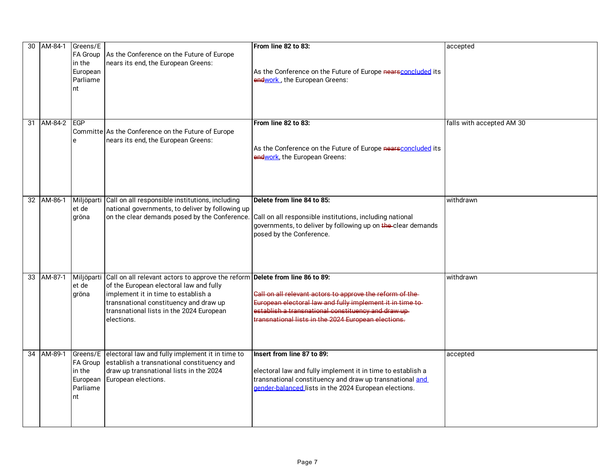| 30 | AM-84-1     | Greens/E<br>in the<br>European<br>Parliame<br>nt | FA Group As the Conference on the Future of Europe<br>nears its end, the European Greens:                                                                                                                                                                                     | From line 82 to 83:<br>As the Conference on the Future of Europe nearsconcluded its<br>endwork, the European Greens:                                                                                                                 | accepted                  |
|----|-------------|--------------------------------------------------|-------------------------------------------------------------------------------------------------------------------------------------------------------------------------------------------------------------------------------------------------------------------------------|--------------------------------------------------------------------------------------------------------------------------------------------------------------------------------------------------------------------------------------|---------------------------|
| 31 | AM-84-2 EGP | e                                                | Committe As the Conference on the Future of Europe<br>nears its end, the European Greens:                                                                                                                                                                                     | From line 82 to 83:<br>As the Conference on the Future of Europe nearsconcluded its<br>endwork, the European Greens:                                                                                                                 | falls with accepted AM 30 |
|    | 32 AM-86-1  | et de<br>gröna                                   | Miljöparti Call on all responsible institutions, including<br>national governments, to deliver by following up                                                                                                                                                                | Delete from line 84 to 85:<br>on the clear demands posed by the Conference. Call on all responsible institutions, including national<br>governments, to deliver by following up on the-clear demands<br>posed by the Conference.     | withdrawn                 |
| 33 | AM-87-1     | et de<br>gröna                                   | Miljöparti Call on all relevant actors to approve the reform Delete from line 86 to 89:<br>of the European electoral law and fully<br>implement it in time to establish a<br>transnational constituency and draw up<br>transnational lists in the 2024 European<br>elections. | Call on all relevant actors to approve the reform of the-<br>European electoral law and fully implement it in time to-<br>establish a transnational constituency and draw up-<br>transnational lists in the 2024 European elections. | withdrawn                 |
|    | 34 AM-89-1  | <b>FA Group</b><br>in the<br>Parliame<br>nt      | Greens/E electoral law and fully implement it in time to<br>establish a transnational constituency and<br>draw up transnational lists in the 2024<br>European European elections.                                                                                             | Insert from line 87 to 89:<br>electoral law and fully implement it in time to establish a<br>transnational constituency and draw up transnational and<br>gender-balanced lists in the 2024 European elections.                       | accepted                  |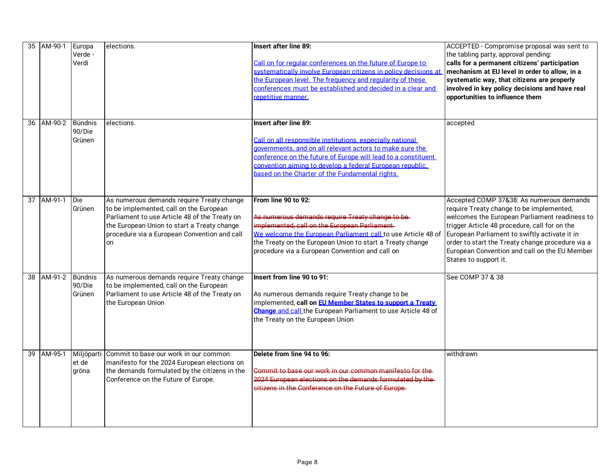|    | 35 AM-90-1 | Europa<br>Verde -<br>Verdi         | elections.                                                                                                                                                                                                                                 | Insert after line 89:<br>Call on for regular conferences on the future of Europe to<br>systematically involve European citizens in policy decisions at<br>the European level. The frequency and reqularity of these<br>conferences must be established and decided in a clear and<br>repetitive manner.                         | ACCEPTED - Compromise proposal was sent to<br>the tabling party, approval pending:<br>calls for a permanent citizens' participation<br>mechanism at EU level in order to allow, in a<br>systematic way, that citizens are properly<br>involved in key policy decisions and have real<br>opportunities to influence them                                               |
|----|------------|------------------------------------|--------------------------------------------------------------------------------------------------------------------------------------------------------------------------------------------------------------------------------------------|---------------------------------------------------------------------------------------------------------------------------------------------------------------------------------------------------------------------------------------------------------------------------------------------------------------------------------|-----------------------------------------------------------------------------------------------------------------------------------------------------------------------------------------------------------------------------------------------------------------------------------------------------------------------------------------------------------------------|
|    | 36 AM-90-2 | <b>Bündnis</b><br>90/Die<br>Grünen | elections.                                                                                                                                                                                                                                 | Insert after line 89:<br>Call on all responsible institutions, especially national<br>governments, and on all relevant actors to make sure the<br>conference on the future of Europe will lead to a constituent<br>convention aiming to develop a federal European republic.<br>based on the Charter of the Fundamental rights. | accepted                                                                                                                                                                                                                                                                                                                                                              |
| 37 | AM-91-1    | <b>Die</b><br>Grünen               | As numerous demands require Treaty change<br>to be implemented, call on the European<br>Parliament to use Article 48 of the Treaty on<br>the European Union to start a Treaty change<br>procedure via a European Convention and call<br>on | From line 90 to 92:<br>As numerous demands require Treaty change to be-<br>implemented, call on the European Parliament<br>We welcome the European Parliament call to use Article 48 of<br>the Treaty on the European Union to start a Treaty change<br>procedure via a European Convention and call on                         | Accepted COMP 37&38: As numerous demands<br>require Treaty change to be implemented,<br>welcomes the European Parliament readiness to<br>trigger Article 48 procedure, call for on the<br>European Parliament to swiftly activate it in<br>order to start the Treaty change procedure via a<br>European Convention and call on the EU Member<br>States to support it. |
|    | 38 AM-91-2 | Bündnis<br>90/Die<br>Grünen        | As numerous demands require Treaty change<br>to be implemented, call on the European<br>Parliament to use Article 48 of the Treaty on<br>the European Union                                                                                | Insert from line 90 to 91:<br>As numerous demands require Treaty change to be<br>implemented, call on <b>EU Member States to support a Treaty</b><br><b>Change</b> and call the European Parliament to use Article 48 of<br>the Treaty on the European Union                                                                    | See COMP 37 & 38                                                                                                                                                                                                                                                                                                                                                      |
|    | 39 AM-95-1 | Miljöparti<br>et de<br>gröna       | Commit to base our work in our common<br>manifesto for the 2024 European elections on<br>the demands formulated by the citizens in the<br>Conference on the Future of Europe.                                                              | Delete from line 94 to 96:<br>Commit to base our work in our common manifesto for the<br>2024 European elections on the demands formulated by the<br>eitizens in the Conference on the Future of Europe.                                                                                                                        | withdrawn                                                                                                                                                                                                                                                                                                                                                             |